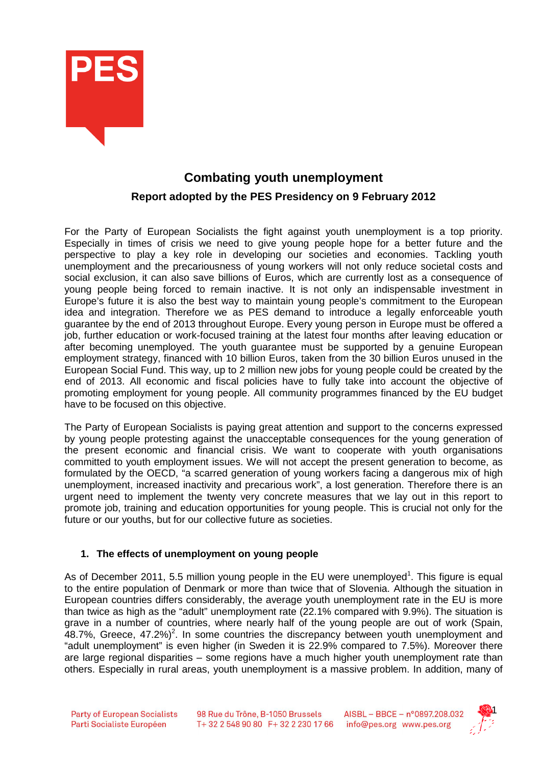

# **Combating youth unemployment Report adopted by the PES Presidency on 9 February 2012**

For the Party of European Socialists the fight against youth unemployment is a top priority. Especially in times of crisis we need to give young people hope for a better future and the perspective to play a key role in developing our societies and economies. Tackling youth unemployment and the precariousness of young workers will not only reduce societal costs and social exclusion, it can also save billions of Euros, which are currently lost as a consequence of young people being forced to remain inactive. It is not only an indispensable investment in Europe's future it is also the best way to maintain young people's commitment to the European idea and integration. Therefore we as PES demand to introduce a legally enforceable youth guarantee by the end of 2013 throughout Europe. Every young person in Europe must be offered a job, further education or work-focused training at the latest four months after leaving education or after becoming unemployed. The youth guarantee must be supported by a genuine European employment strategy, financed with 10 billion Euros, taken from the 30 billion Euros unused in the European Social Fund. This way, up to 2 million new jobs for young people could be created by the end of 2013. All economic and fiscal policies have to fully take into account the objective of promoting employment for young people. All community programmes financed by the EU budget have to be focused on this objective.

The Party of European Socialists is paying great attention and support to the concerns expressed by young people protesting against the unacceptable consequences for the young generation of the present economic and financial crisis. We want to cooperate with youth organisations committed to youth employment issues. We will not accept the present generation to become, as formulated by the OECD, "a scarred generation of young workers facing a dangerous mix of high unemployment, increased inactivity and precarious work", a lost generation. Therefore there is an urgent need to implement the twenty very concrete measures that we lay out in this report to promote job, training and education opportunities for young people. This is crucial not only for the future or our youths, but for our collective future as societies.

# **1. The effects of unemployment on young people**

As of December 2011, 5.5 million young people in the EU were unemployed<sup>1</sup>. This figure is equal to the entire population of Denmark or more than twice that of Slovenia. Although the situation in European countries differs considerably, the average youth unemployment rate in the EU is more than twice as high as the "adult" unemployment rate (22.1% compared with 9.9%). The situation is grave in a number of countries, where nearly half of the young people are out of work (Spain,  $48.7\%$ , Greece,  $47.2\%)^2$ . In some countries the discrepancy between youth unemployment and "adult unemployment" is even higher (in Sweden it is 22.9% compared to 7.5%). Moreover there are large regional disparities – some regions have a much higher youth unemployment rate than others. Especially in rural areas, youth unemployment is a massive problem. In addition, many of

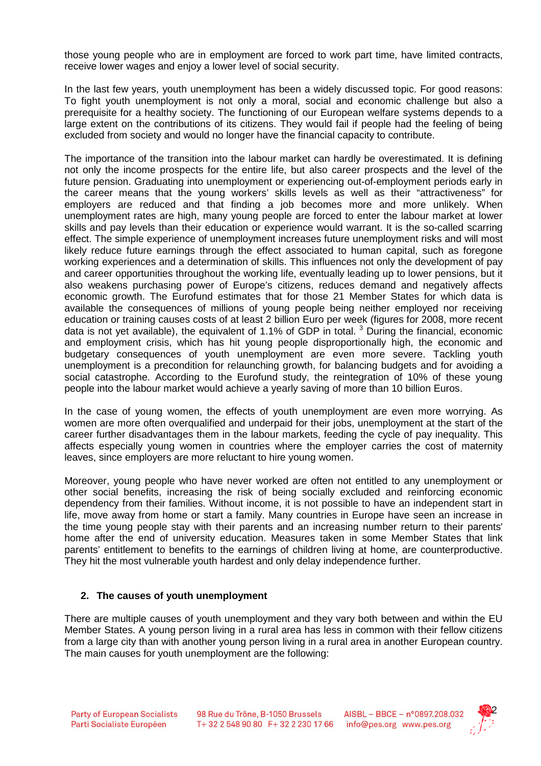those young people who are in employment are forced to work part time, have limited contracts, receive lower wages and enjoy a lower level of social security.

In the last few years, youth unemployment has been a widely discussed topic. For good reasons: To fight youth unemployment is not only a moral, social and economic challenge but also a prerequisite for a healthy society. The functioning of our European welfare systems depends to a large extent on the contributions of its citizens. They would fail if people had the feeling of being excluded from society and would no longer have the financial capacity to contribute.

The importance of the transition into the labour market can hardly be overestimated. It is defining not only the income prospects for the entire life, but also career prospects and the level of the future pension. Graduating into unemployment or experiencing out-of-employment periods early in the career means that the young workers' skills levels as well as their "attractiveness" for employers are reduced and that finding a job becomes more and more unlikely. When unemployment rates are high, many young people are forced to enter the labour market at lower skills and pay levels than their education or experience would warrant. It is the so-called scarring effect. The simple experience of unemployment increases future unemployment risks and will most likely reduce future earnings through the effect associated to human capital, such as foregone working experiences and a determination of skills. This influences not only the development of pay and career opportunities throughout the working life, eventually leading up to lower pensions, but it also weakens purchasing power of Europe's citizens, reduces demand and negatively affects economic growth. The Eurofund estimates that for those 21 Member States for which data is available the consequences of millions of young people being neither employed nor receiving education or training causes costs of at least 2 billion Euro per week (figures for 2008, more recent data is not yet available), the equivalent of 1.1% of GDP in total.  $3$  During the financial, economic and employment crisis, which has hit young people disproportionally high, the economic and budgetary consequences of youth unemployment are even more severe. Tackling youth unemployment is a precondition for relaunching growth, for balancing budgets and for avoiding a social catastrophe. According to the Eurofund study, the reintegration of 10% of these young people into the labour market would achieve a yearly saving of more than 10 billion Euros.

In the case of young women, the effects of youth unemployment are even more worrying. As women are more often overqualified and underpaid for their jobs, unemployment at the start of the career further disadvantages them in the labour markets, feeding the cycle of pay inequality. This affects especially young women in countries where the employer carries the cost of maternity leaves, since employers are more reluctant to hire young women.

Moreover, young people who have never worked are often not entitled to any unemployment or other social benefits, increasing the risk of being socially excluded and reinforcing economic dependency from their families. Without income, it is not possible to have an independent start in life, move away from home or start a family. Many countries in Europe have seen an increase in the time young people stay with their parents and an increasing number return to their parents' home after the end of university education. Measures taken in some Member States that link parents' entitlement to benefits to the earnings of children living at home, are counterproductive. They hit the most vulnerable youth hardest and only delay independence further.

## **2. The causes of youth unemployment**

There are multiple causes of youth unemployment and they vary both between and within the EU Member States. A young person living in a rural area has less in common with their fellow citizens from a large city than with another young person living in a rural area in another European country. The main causes for youth unemployment are the following:

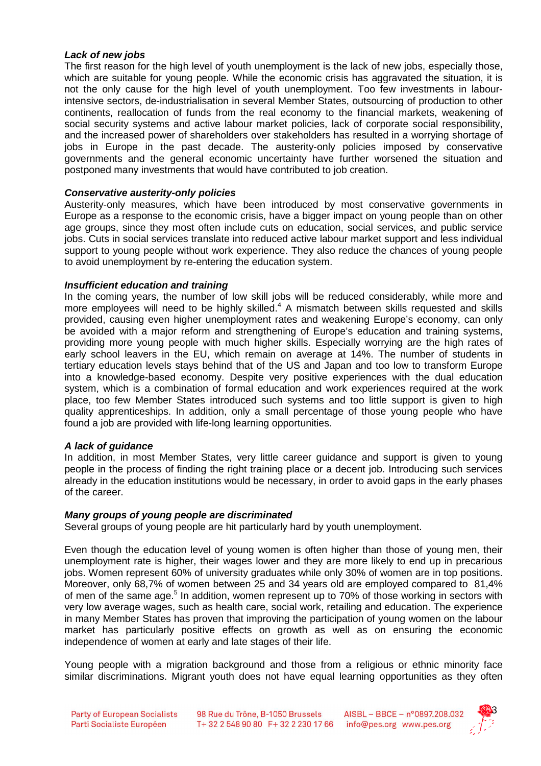## **Lack of new jobs**

The first reason for the high level of youth unemployment is the lack of new jobs, especially those, which are suitable for young people. While the economic crisis has aggravated the situation, it is not the only cause for the high level of youth unemployment. Too few investments in labourintensive sectors, de-industrialisation in several Member States, outsourcing of production to other continents, reallocation of funds from the real economy to the financial markets, weakening of social security systems and active labour market policies, lack of corporate social responsibility, and the increased power of shareholders over stakeholders has resulted in a worrying shortage of jobs in Europe in the past decade. The austerity-only policies imposed by conservative governments and the general economic uncertainty have further worsened the situation and postponed many investments that would have contributed to job creation.

## **Conservative austerity-only policies**

Austerity-only measures, which have been introduced by most conservative governments in Europe as a response to the economic crisis, have a bigger impact on young people than on other age groups, since they most often include cuts on education, social services, and public service jobs. Cuts in social services translate into reduced active labour market support and less individual support to young people without work experience. They also reduce the chances of young people to avoid unemployment by re-entering the education system.

#### **Insufficient education and training**

In the coming years, the number of low skill jobs will be reduced considerably, while more and more employees will need to be highly skilled.<sup>4</sup> A mismatch between skills requested and skills provided, causing even higher unemployment rates and weakening Europe's economy, can only be avoided with a major reform and strengthening of Europe's education and training systems, providing more young people with much higher skills. Especially worrying are the high rates of early school leavers in the EU, which remain on average at 14%. The number of students in tertiary education levels stays behind that of the US and Japan and too low to transform Europe into a knowledge-based economy. Despite very positive experiences with the dual education system, which is a combination of formal education and work experiences required at the work place, too few Member States introduced such systems and too little support is given to high quality apprenticeships. In addition, only a small percentage of those young people who have found a job are provided with life-long learning opportunities.

#### **A lack of guidance**

In addition, in most Member States, very little career guidance and support is given to young people in the process of finding the right training place or a decent job. Introducing such services already in the education institutions would be necessary, in order to avoid gaps in the early phases of the career.

#### **Many groups of young people are discriminated**

Several groups of young people are hit particularly hard by youth unemployment.

Even though the education level of young women is often higher than those of young men, their unemployment rate is higher, their wages lower and they are more likely to end up in precarious jobs. Women represent 60% of university graduates while only 30% of women are in top positions. Moreover, only 68,7% of women between 25 and 34 years old are employed compared to 81,4% of men of the same age.<sup>5</sup> In addition, women represent up to 70% of those working in sectors with very low average wages, such as health care, social work, retailing and education. The experience in many Member States has proven that improving the participation of young women on the labour market has particularly positive effects on growth as well as on ensuring the economic independence of women at early and late stages of their life.

Young people with a migration background and those from a religious or ethnic minority face similar discriminations. Migrant youth does not have equal learning opportunities as they often

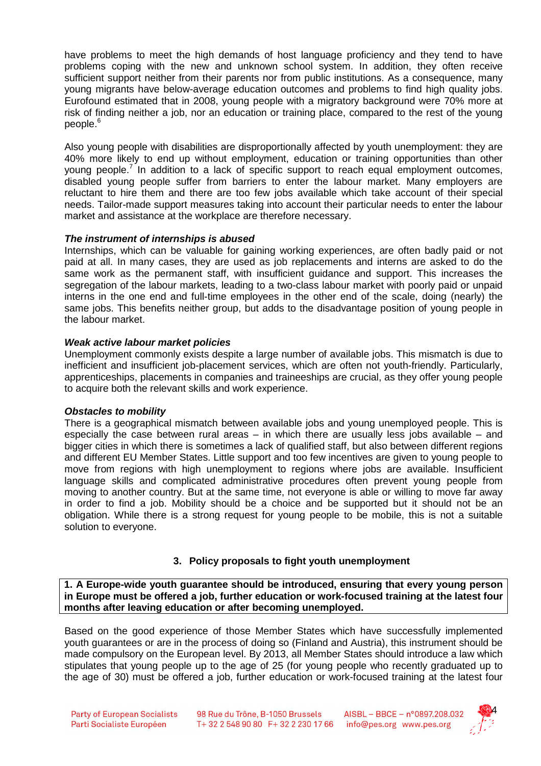have problems to meet the high demands of host language proficiency and they tend to have problems coping with the new and unknown school system. In addition, they often receive sufficient support neither from their parents nor from public institutions. As a consequence, many young migrants have below-average education outcomes and problems to find high quality jobs. Eurofound estimated that in 2008, young people with a migratory background were 70% more at risk of finding neither a job, nor an education or training place, compared to the rest of the young people.<sup>6</sup>

Also young people with disabilities are disproportionally affected by youth unemployment: they are 40% more likely to end up without employment, education or training opportunities than other young people.<sup>7</sup> In addition to a lack of specific support to reach equal employment outcomes, disabled young people suffer from barriers to enter the labour market. Many employers are reluctant to hire them and there are too few jobs available which take account of their special needs. Tailor-made support measures taking into account their particular needs to enter the labour market and assistance at the workplace are therefore necessary.

# **The instrument of internships is abused**

Internships, which can be valuable for gaining working experiences, are often badly paid or not paid at all. In many cases, they are used as job replacements and interns are asked to do the same work as the permanent staff, with insufficient guidance and support. This increases the segregation of the labour markets, leading to a two-class labour market with poorly paid or unpaid interns in the one end and full-time employees in the other end of the scale, doing (nearly) the same jobs. This benefits neither group, but adds to the disadvantage position of young people in the labour market.

# **Weak active labour market policies**

Unemployment commonly exists despite a large number of available jobs. This mismatch is due to inefficient and insufficient job-placement services, which are often not youth-friendly. Particularly, apprenticeships, placements in companies and traineeships are crucial, as they offer young people to acquire both the relevant skills and work experience.

## **Obstacles to mobility**

There is a geographical mismatch between available jobs and young unemployed people. This is especially the case between rural areas – in which there are usually less jobs available – and bigger cities in which there is sometimes a lack of qualified staff, but also between different regions and different EU Member States. Little support and too few incentives are given to young people to move from regions with high unemployment to regions where jobs are available. Insufficient language skills and complicated administrative procedures often prevent young people from moving to another country. But at the same time, not everyone is able or willing to move far away in order to find a job. Mobility should be a choice and be supported but it should not be an obligation. While there is a strong request for young people to be mobile, this is not a suitable solution to everyone.

# **3. Policy proposals to fight youth unemployment**

**1. A Europe-wide youth guarantee should be introduced, ensuring that every young person in Europe must be offered a job, further education or work-focused training at the latest four months after leaving education or after becoming unemployed.** 

Based on the good experience of those Member States which have successfully implemented youth guarantees or are in the process of doing so (Finland and Austria), this instrument should be made compulsory on the European level. By 2013, all Member States should introduce a law which stipulates that young people up to the age of 25 (for young people who recently graduated up to the age of 30) must be offered a job, further education or work-focused training at the latest four

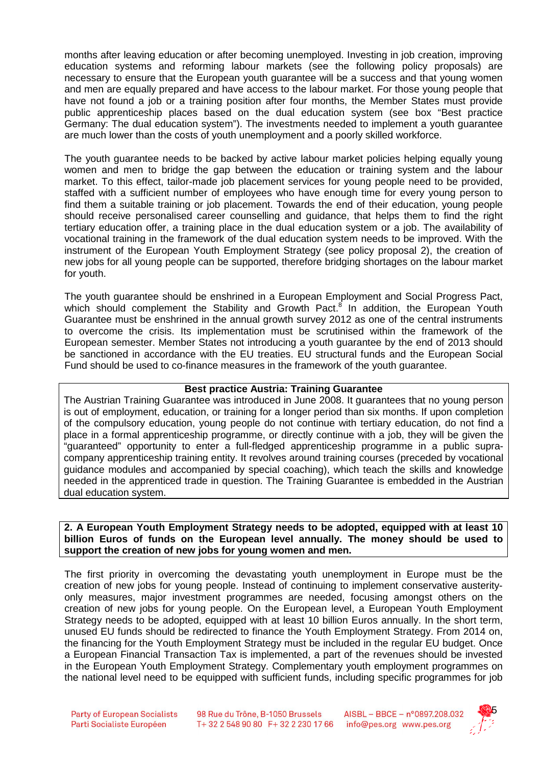months after leaving education or after becoming unemployed. Investing in job creation, improving education systems and reforming labour markets (see the following policy proposals) are necessary to ensure that the European youth guarantee will be a success and that young women and men are equally prepared and have access to the labour market. For those young people that have not found a job or a training position after four months, the Member States must provide public apprenticeship places based on the dual education system (see box "Best practice Germany: The dual education system"). The investments needed to implement a youth guarantee are much lower than the costs of youth unemployment and a poorly skilled workforce.

The youth guarantee needs to be backed by active labour market policies helping equally young women and men to bridge the gap between the education or training system and the labour market. To this effect, tailor-made job placement services for young people need to be provided, staffed with a sufficient number of employees who have enough time for every young person to find them a suitable training or job placement. Towards the end of their education, young people should receive personalised career counselling and guidance, that helps them to find the right tertiary education offer, a training place in the dual education system or a job. The availability of vocational training in the framework of the dual education system needs to be improved. With the instrument of the European Youth Employment Strategy (see policy proposal 2), the creation of new jobs for all young people can be supported, therefore bridging shortages on the labour market for youth.

The youth guarantee should be enshrined in a European Employment and Social Progress Pact, which should complement the Stability and Growth Pact.<sup>8</sup> In addition, the European Youth Guarantee must be enshrined in the annual growth survey 2012 as one of the central instruments to overcome the crisis. Its implementation must be scrutinised within the framework of the European semester. Member States not introducing a youth guarantee by the end of 2013 should be sanctioned in accordance with the EU treaties. EU structural funds and the European Social Fund should be used to co-finance measures in the framework of the youth guarantee.

#### **Best practice Austria: Training Guarantee**

The Austrian Training Guarantee was introduced in June 2008. It guarantees that no young person is out of employment, education, or training for a longer period than six months. If upon completion of the compulsory education, young people do not continue with tertiary education, do not find a place in a formal apprenticeship programme, or directly continue with a job, they will be given the "guaranteed" opportunity to enter a full-fledged apprenticeship programme in a public supracompany apprenticeship training entity. It revolves around training courses (preceded by vocational guidance modules and accompanied by special coaching), which teach the skills and knowledge needed in the apprenticed trade in question. The Training Guarantee is embedded in the Austrian dual education system.

#### **2. A European Youth Employment Strategy needs to be adopted, equipped with at least 10 billion Euros of funds on the European level annually. The money should be used to support the creation of new jobs for young women and men.**

The first priority in overcoming the devastating youth unemployment in Europe must be the creation of new jobs for young people. Instead of continuing to implement conservative austerityonly measures, major investment programmes are needed, focusing amongst others on the creation of new jobs for young people. On the European level, a European Youth Employment Strategy needs to be adopted, equipped with at least 10 billion Euros annually. In the short term, unused EU funds should be redirected to finance the Youth Employment Strategy. From 2014 on, the financing for the Youth Employment Strategy must be included in the regular EU budget. Once a European Financial Transaction Tax is implemented, a part of the revenues should be invested in the European Youth Employment Strategy. Complementary youth employment programmes on the national level need to be equipped with sufficient funds, including specific programmes for job

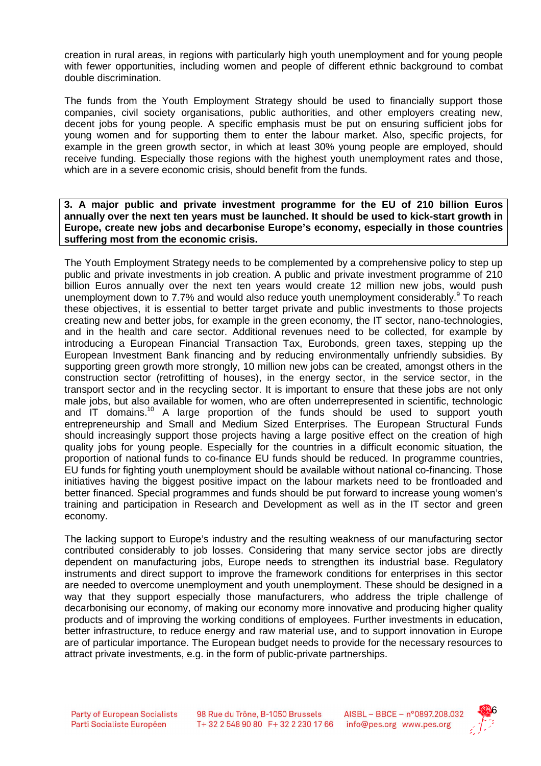creation in rural areas, in regions with particularly high youth unemployment and for young people with fewer opportunities, including women and people of different ethnic background to combat double discrimination.

The funds from the Youth Employment Strategy should be used to financially support those companies, civil society organisations, public authorities, and other employers creating new, decent jobs for young people. A specific emphasis must be put on ensuring sufficient jobs for young women and for supporting them to enter the labour market. Also, specific projects, for example in the green growth sector, in which at least 30% young people are employed, should receive funding. Especially those regions with the highest youth unemployment rates and those, which are in a severe economic crisis, should benefit from the funds.

**3. A major public and private investment programme for the EU of 210 billion Euros annually over the next ten years must be launched. It should be used to kick-start growth in Europe, create new jobs and decarbonise Europe's economy, especially in those countries suffering most from the economic crisis.** 

The Youth Employment Strategy needs to be complemented by a comprehensive policy to step up public and private investments in job creation. A public and private investment programme of 210 billion Euros annually over the next ten years would create 12 million new jobs, would push unemployment down to 7.7% and would also reduce youth unemployment considerably. To reach these objectives, it is essential to better target private and public investments to those projects creating new and better jobs, for example in the green economy, the IT sector, nano-technologies, and in the health and care sector. Additional revenues need to be collected, for example by introducing a European Financial Transaction Tax, Eurobonds, green taxes, stepping up the European Investment Bank financing and by reducing environmentally unfriendly subsidies. By supporting green growth more strongly, 10 million new jobs can be created, amongst others in the construction sector (retrofitting of houses), in the energy sector, in the service sector, in the transport sector and in the recycling sector. It is important to ensure that these jobs are not only male jobs, but also available for women, who are often underrepresented in scientific, technologic and IT domains.<sup>10</sup> A large proportion of the funds should be used to support youth entrepreneurship and Small and Medium Sized Enterprises. The European Structural Funds should increasingly support those projects having a large positive effect on the creation of high quality jobs for young people. Especially for the countries in a difficult economic situation, the proportion of national funds to co-finance EU funds should be reduced. In programme countries, EU funds for fighting youth unemployment should be available without national co-financing. Those initiatives having the biggest positive impact on the labour markets need to be frontloaded and better financed. Special programmes and funds should be put forward to increase young women's training and participation in Research and Development as well as in the IT sector and green economy.

The lacking support to Europe's industry and the resulting weakness of our manufacturing sector contributed considerably to job losses. Considering that many service sector jobs are directly dependent on manufacturing jobs, Europe needs to strengthen its industrial base. Regulatory instruments and direct support to improve the framework conditions for enterprises in this sector are needed to overcome unemployment and youth unemployment. These should be designed in a way that they support especially those manufacturers, who address the triple challenge of decarbonising our economy, of making our economy more innovative and producing higher quality products and of improving the working conditions of employees. Further investments in education, better infrastructure, to reduce energy and raw material use, and to support innovation in Europe are of particular importance. The European budget needs to provide for the necessary resources to attract private investments, e.g. in the form of public-private partnerships.

98 Rue du Trône, B-1050 Brussels T+32 2 548 90 80 F+32 2 230 17 66

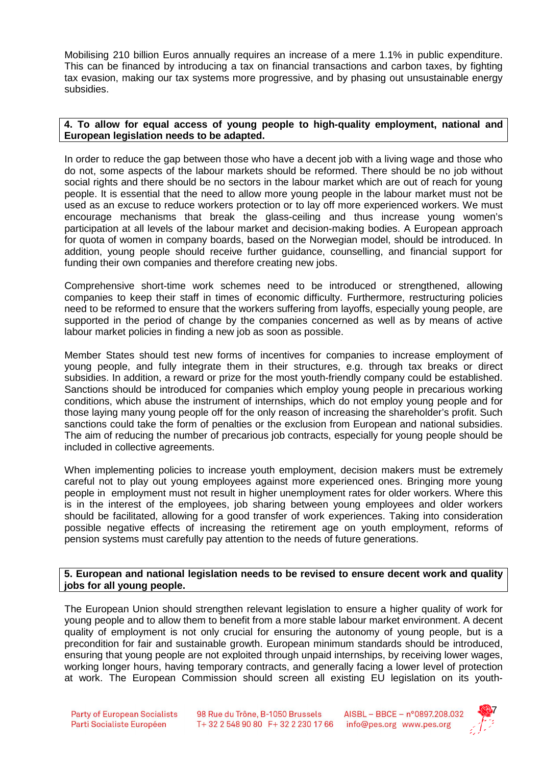Mobilising 210 billion Euros annually requires an increase of a mere 1.1% in public expenditure. This can be financed by introducing a tax on financial transactions and carbon taxes, by fighting tax evasion, making our tax systems more progressive, and by phasing out unsustainable energy subsidies.

#### **4. To allow for equal access of young people to high-quality employment, national and European legislation needs to be adapted.**

In order to reduce the gap between those who have a decent job with a living wage and those who do not, some aspects of the labour markets should be reformed. There should be no job without social rights and there should be no sectors in the labour market which are out of reach for young people. It is essential that the need to allow more young people in the labour market must not be used as an excuse to reduce workers protection or to lay off more experienced workers. We must encourage mechanisms that break the glass-ceiling and thus increase young women's participation at all levels of the labour market and decision-making bodies. A European approach for quota of women in company boards, based on the Norwegian model, should be introduced. In addition, young people should receive further guidance, counselling, and financial support for funding their own companies and therefore creating new jobs.

Comprehensive short-time work schemes need to be introduced or strengthened, allowing companies to keep their staff in times of economic difficulty. Furthermore, restructuring policies need to be reformed to ensure that the workers suffering from layoffs, especially young people, are supported in the period of change by the companies concerned as well as by means of active labour market policies in finding a new job as soon as possible.

Member States should test new forms of incentives for companies to increase employment of young people, and fully integrate them in their structures, e.g. through tax breaks or direct subsidies. In addition, a reward or prize for the most youth-friendly company could be established. Sanctions should be introduced for companies which employ young people in precarious working conditions, which abuse the instrument of internships, which do not employ young people and for those laying many young people off for the only reason of increasing the shareholder's profit. Such sanctions could take the form of penalties or the exclusion from European and national subsidies. The aim of reducing the number of precarious job contracts, especially for young people should be included in collective agreements.

When implementing policies to increase youth employment, decision makers must be extremely careful not to play out young employees against more experienced ones. Bringing more young people in employment must not result in higher unemployment rates for older workers. Where this is in the interest of the employees, job sharing between young employees and older workers should be facilitated, allowing for a good transfer of work experiences. Taking into consideration possible negative effects of increasing the retirement age on youth employment, reforms of pension systems must carefully pay attention to the needs of future generations.

## **5. European and national legislation needs to be revised to ensure decent work and quality jobs for all young people.**

The European Union should strengthen relevant legislation to ensure a higher quality of work for young people and to allow them to benefit from a more stable labour market environment. A decent quality of employment is not only crucial for ensuring the autonomy of young people, but is a precondition for fair and sustainable growth. European minimum standards should be introduced, ensuring that young people are not exploited through unpaid internships, by receiving lower wages, working longer hours, having temporary contracts, and generally facing a lower level of protection at work. The European Commission should screen all existing EU legislation on its youth-

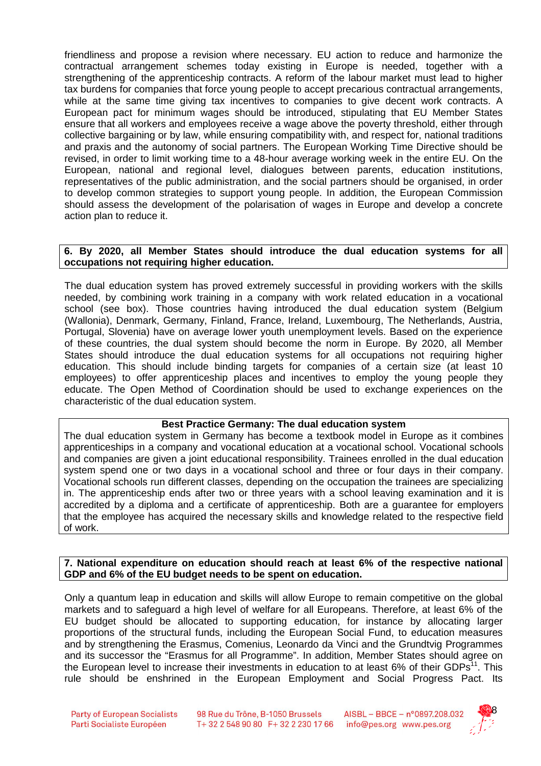friendliness and propose a revision where necessary. EU action to reduce and harmonize the contractual arrangement schemes today existing in Europe is needed, together with a strengthening of the apprenticeship contracts. A reform of the labour market must lead to higher tax burdens for companies that force young people to accept precarious contractual arrangements, while at the same time giving tax incentives to companies to give decent work contracts. A European pact for minimum wages should be introduced, stipulating that EU Member States ensure that all workers and employees receive a wage above the poverty threshold, either through collective bargaining or by law, while ensuring compatibility with, and respect for, national traditions and praxis and the autonomy of social partners. The European Working Time Directive should be revised, in order to limit working time to a 48-hour average working week in the entire EU. On the European, national and regional level, dialogues between parents, education institutions, representatives of the public administration, and the social partners should be organised, in order to develop common strategies to support young people. In addition, the European Commission should assess the development of the polarisation of wages in Europe and develop a concrete action plan to reduce it.

#### **6. By 2020, all Member States should introduce the dual education systems for all occupations not requiring higher education.**

The dual education system has proved extremely successful in providing workers with the skills needed, by combining work training in a company with work related education in a vocational school (see box). Those countries having introduced the dual education system (Belgium (Wallonia), Denmark, Germany, Finland, France, Ireland, Luxembourg, The Netherlands, Austria, Portugal, Slovenia) have on average lower youth unemployment levels. Based on the experience of these countries, the dual system should become the norm in Europe. By 2020, all Member States should introduce the dual education systems for all occupations not requiring higher education. This should include binding targets for companies of a certain size (at least 10 employees) to offer apprenticeship places and incentives to employ the young people they educate. The Open Method of Coordination should be used to exchange experiences on the characteristic of the dual education system.

## **Best Practice Germany: The dual education system**

The dual education system in Germany has become a textbook model in Europe as it combines apprenticeships in a company and vocational education at a vocational school. Vocational schools and companies are given a joint educational responsibility. Trainees enrolled in the dual education system spend one or two days in a vocational school and three or four days in their company. Vocational schools run different classes, depending on the occupation the trainees are specializing in. The apprenticeship ends after two or three years with a school leaving examination and it is accredited by a diploma and a certificate of apprenticeship. Both are a guarantee for employers that the employee has acquired the necessary skills and knowledge related to the respective field of work.

## **7. National expenditure on education should reach at least 6% of the respective national GDP and 6% of the EU budget needs to be spent on education.**

Only a quantum leap in education and skills will allow Europe to remain competitive on the global markets and to safeguard a high level of welfare for all Europeans. Therefore, at least 6% of the EU budget should be allocated to supporting education, for instance by allocating larger proportions of the structural funds, including the European Social Fund, to education measures and by strengthening the Erasmus, Comenius, Leonardo da Vinci and the Grundtvig Programmes and its successor the "Erasmus for all Programme". In addition, Member States should agree on the European level to increase their investments in education to at least  $6\%$  of their GDPs<sup>11</sup>. This rule should be enshrined in the European Employment and Social Progress Pact. Its

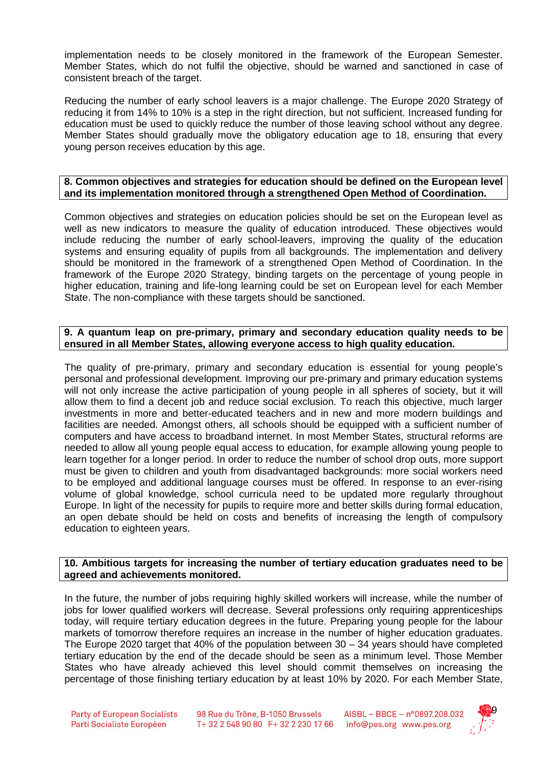implementation needs to be closely monitored in the framework of the European Semester. Member States, which do not fulfil the objective, should be warned and sanctioned in case of consistent breach of the target.

Reducing the number of early school leavers is a major challenge. The Europe 2020 Strategy of reducing it from 14% to 10% is a step in the right direction, but not sufficient. Increased funding for education must be used to quickly reduce the number of those leaving school without any degree. Member States should gradually move the obligatory education age to 18, ensuring that every young person receives education by this age.

#### **8. Common objectives and strategies for education should be defined on the European level and its implementation monitored through a strengthened Open Method of Coordination.**

Common objectives and strategies on education policies should be set on the European level as well as new indicators to measure the quality of education introduced. These objectives would include reducing the number of early school-leavers, improving the quality of the education systems and ensuring equality of pupils from all backgrounds. The implementation and delivery should be monitored in the framework of a strengthened Open Method of Coordination. In the framework of the Europe 2020 Strategy, binding targets on the percentage of young people in higher education, training and life-long learning could be set on European level for each Member State. The non-compliance with these targets should be sanctioned.

#### **9. A quantum leap on pre-primary, primary and secondary education quality needs to be ensured in all Member States, allowing everyone access to high quality education.**

The quality of pre-primary, primary and secondary education is essential for young people's personal and professional development. Improving our pre-primary and primary education systems will not only increase the active participation of young people in all spheres of society, but it will allow them to find a decent job and reduce social exclusion. To reach this objective, much larger investments in more and better-educated teachers and in new and more modern buildings and facilities are needed. Amongst others, all schools should be equipped with a sufficient number of computers and have access to broadband internet. In most Member States, structural reforms are needed to allow all young people equal access to education, for example allowing young people to learn together for a longer period. In order to reduce the number of school drop outs, more support must be given to children and youth from disadvantaged backgrounds: more social workers need to be employed and additional language courses must be offered. In response to an ever-rising volume of global knowledge, school curricula need to be updated more regularly throughout Europe. In light of the necessity for pupils to require more and better skills during formal education, an open debate should be held on costs and benefits of increasing the length of compulsory education to eighteen years.

#### **10. Ambitious targets for increasing the number of tertiary education graduates need to be agreed and achievements monitored.**

In the future, the number of jobs requiring highly skilled workers will increase, while the number of jobs for lower qualified workers will decrease. Several professions only requiring apprenticeships today, will require tertiary education degrees in the future. Preparing young people for the labour markets of tomorrow therefore requires an increase in the number of higher education graduates. The Europe 2020 target that 40% of the population between  $30 - 34$  years should have completed tertiary education by the end of the decade should be seen as a minimum level. Those Member States who have already achieved this level should commit themselves on increasing the percentage of those finishing tertiary education by at least 10% by 2020. For each Member State,

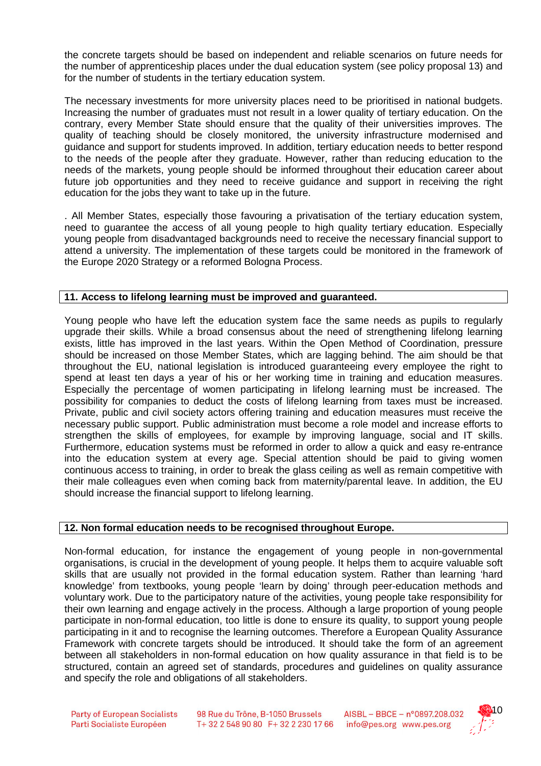the concrete targets should be based on independent and reliable scenarios on future needs for the number of apprenticeship places under the dual education system (see policy proposal 13) and for the number of students in the tertiary education system.

The necessary investments for more university places need to be prioritised in national budgets. Increasing the number of graduates must not result in a lower quality of tertiary education. On the contrary, every Member State should ensure that the quality of their universities improves. The quality of teaching should be closely monitored, the university infrastructure modernised and guidance and support for students improved. In addition, tertiary education needs to better respond to the needs of the people after they graduate. However, rather than reducing education to the needs of the markets, young people should be informed throughout their education career about future job opportunities and they need to receive guidance and support in receiving the right education for the jobs they want to take up in the future.

. All Member States, especially those favouring a privatisation of the tertiary education system, need to guarantee the access of all young people to high quality tertiary education. Especially young people from disadvantaged backgrounds need to receive the necessary financial support to attend a university. The implementation of these targets could be monitored in the framework of the Europe 2020 Strategy or a reformed Bologna Process.

## **11. Access to lifelong learning must be improved and guaranteed.**

Young people who have left the education system face the same needs as pupils to regularly upgrade their skills. While a broad consensus about the need of strengthening lifelong learning exists, little has improved in the last years. Within the Open Method of Coordination, pressure should be increased on those Member States, which are lagging behind. The aim should be that throughout the EU, national legislation is introduced guaranteeing every employee the right to spend at least ten days a year of his or her working time in training and education measures. Especially the percentage of women participating in lifelong learning must be increased. The possibility for companies to deduct the costs of lifelong learning from taxes must be increased. Private, public and civil society actors offering training and education measures must receive the necessary public support. Public administration must become a role model and increase efforts to strengthen the skills of employees, for example by improving language, social and IT skills. Furthermore, education systems must be reformed in order to allow a quick and easy re-entrance into the education system at every age. Special attention should be paid to giving women continuous access to training, in order to break the glass ceiling as well as remain competitive with their male colleagues even when coming back from maternity/parental leave. In addition, the EU should increase the financial support to lifelong learning.

## **12. Non formal education needs to be recognised throughout Europe.**

Non-formal education, for instance the engagement of young people in non-governmental organisations, is crucial in the development of young people. It helps them to acquire valuable soft skills that are usually not provided in the formal education system. Rather than learning 'hard knowledge' from textbooks, young people 'learn by doing' through peer-education methods and voluntary work. Due to the participatory nature of the activities, young people take responsibility for their own learning and engage actively in the process. Although a large proportion of young people participate in non-formal education, too little is done to ensure its quality, to support young people participating in it and to recognise the learning outcomes. Therefore a European Quality Assurance Framework with concrete targets should be introduced. It should take the form of an agreement between all stakeholders in non-formal education on how quality assurance in that field is to be structured, contain an agreed set of standards, procedures and guidelines on quality assurance and specify the role and obligations of all stakeholders.

98 Rue du Trône, B-1050 Brussels T+32 2 548 90 80 F+32 2 230 17 66

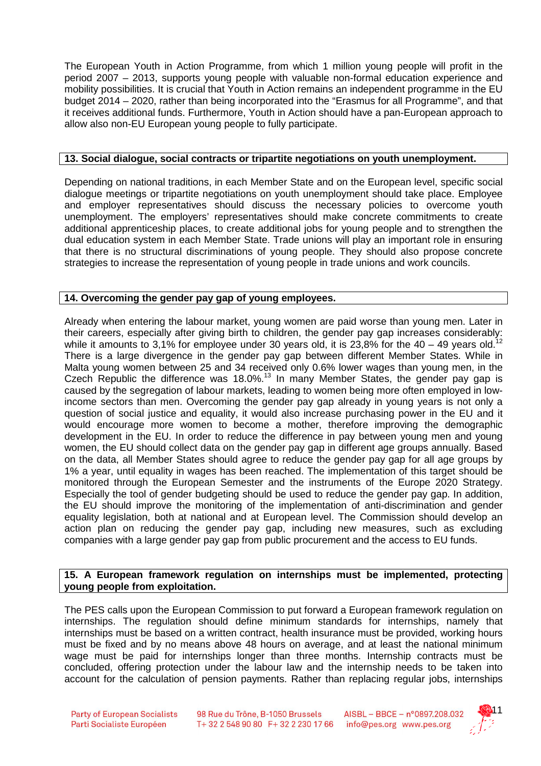The European Youth in Action Programme, from which 1 million young people will profit in the period 2007 – 2013, supports young people with valuable non-formal education experience and mobility possibilities. It is crucial that Youth in Action remains an independent programme in the EU budget 2014 – 2020, rather than being incorporated into the "Erasmus for all Programme", and that it receives additional funds. Furthermore, Youth in Action should have a pan-European approach to allow also non-EU European young people to fully participate.

## **13. Social dialogue, social contracts or tripartite negotiations on youth unemployment.**

Depending on national traditions, in each Member State and on the European level, specific social dialogue meetings or tripartite negotiations on youth unemployment should take place. Employee and employer representatives should discuss the necessary policies to overcome youth unemployment. The employers' representatives should make concrete commitments to create additional apprenticeship places, to create additional jobs for young people and to strengthen the dual education system in each Member State. Trade unions will play an important role in ensuring that there is no structural discriminations of young people. They should also propose concrete strategies to increase the representation of young people in trade unions and work councils.

## **14. Overcoming the gender pay gap of young employees.**

Already when entering the labour market, young women are paid worse than young men. Later in their careers, especially after giving birth to children, the gender pay gap increases considerably: while it amounts to 3,1% for employee under 30 years old, it is 23,8% for the  $40 - 49$  years old.<sup>12</sup> There is a large divergence in the gender pay gap between different Member States. While in Malta young women between 25 and 34 received only 0.6% lower wages than young men, in the Czech Republic the difference was 18.0%.<sup>13</sup> In many Member States, the gender pay gap is caused by the segregation of labour markets, leading to women being more often employed in lowincome sectors than men. Overcoming the gender pay gap already in young years is not only a question of social justice and equality, it would also increase purchasing power in the EU and it would encourage more women to become a mother, therefore improving the demographic development in the EU. In order to reduce the difference in pay between young men and young women, the EU should collect data on the gender pay gap in different age groups annually. Based on the data, all Member States should agree to reduce the gender pay gap for all age groups by 1% a year, until equality in wages has been reached. The implementation of this target should be monitored through the European Semester and the instruments of the Europe 2020 Strategy. Especially the tool of gender budgeting should be used to reduce the gender pay gap. In addition, the EU should improve the monitoring of the implementation of anti-discrimination and gender equality legislation, both at national and at European level. The Commission should develop an action plan on reducing the gender pay gap, including new measures, such as excluding companies with a large gender pay gap from public procurement and the access to EU funds.

## **15. A European framework regulation on internships must be implemented, protecting young people from exploitation.**

The PES calls upon the European Commission to put forward a European framework regulation on internships. The regulation should define minimum standards for internships, namely that internships must be based on a written contract, health insurance must be provided, working hours must be fixed and by no means above 48 hours on average, and at least the national minimum wage must be paid for internships longer than three months. Internship contracts must be concluded, offering protection under the labour law and the internship needs to be taken into account for the calculation of pension payments. Rather than replacing regular jobs, internships

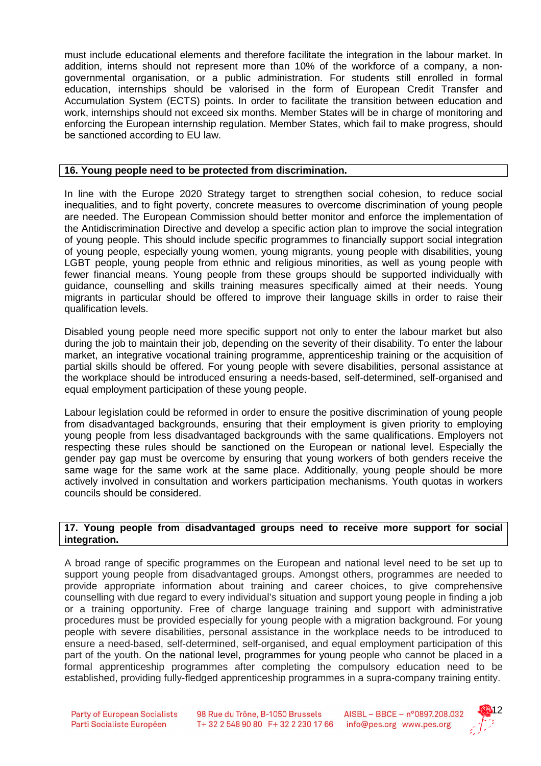must include educational elements and therefore facilitate the integration in the labour market. In addition, interns should not represent more than 10% of the workforce of a company, a nongovernmental organisation, or a public administration. For students still enrolled in formal education, internships should be valorised in the form of European Credit Transfer and Accumulation System (ECTS) points. In order to facilitate the transition between education and work, internships should not exceed six months. Member States will be in charge of monitoring and enforcing the European internship regulation. Member States, which fail to make progress, should be sanctioned according to EU law.

#### **16. Young people need to be protected from discrimination.**

In line with the Europe 2020 Strategy target to strengthen social cohesion, to reduce social inequalities, and to fight poverty, concrete measures to overcome discrimination of young people are needed. The European Commission should better monitor and enforce the implementation of the Antidiscrimination Directive and develop a specific action plan to improve the social integration of young people. This should include specific programmes to financially support social integration of young people, especially young women, young migrants, young people with disabilities, young LGBT people, young people from ethnic and religious minorities, as well as young people with fewer financial means. Young people from these groups should be supported individually with guidance, counselling and skills training measures specifically aimed at their needs. Young migrants in particular should be offered to improve their language skills in order to raise their qualification levels.

Disabled young people need more specific support not only to enter the labour market but also during the job to maintain their job, depending on the severity of their disability. To enter the labour market, an integrative vocational training programme, apprenticeship training or the acquisition of partial skills should be offered. For young people with severe disabilities, personal assistance at the workplace should be introduced ensuring a needs-based, self-determined, self-organised and equal employment participation of these young people.

Labour legislation could be reformed in order to ensure the positive discrimination of young people from disadvantaged backgrounds, ensuring that their employment is given priority to employing young people from less disadvantaged backgrounds with the same qualifications. Employers not respecting these rules should be sanctioned on the European or national level. Especially the gender pay gap must be overcome by ensuring that young workers of both genders receive the same wage for the same work at the same place. Additionally, young people should be more actively involved in consultation and workers participation mechanisms. Youth quotas in workers councils should be considered.

#### **17. Young people from disadvantaged groups need to receive more support for social integration.**

A broad range of specific programmes on the European and national level need to be set up to support young people from disadvantaged groups. Amongst others, programmes are needed to provide appropriate information about training and career choices, to give comprehensive counselling with due regard to every individual's situation and support young people in finding a job or a training opportunity. Free of charge language training and support with administrative procedures must be provided especially for young people with a migration background. For young people with severe disabilities, personal assistance in the workplace needs to be introduced to ensure a need-based, self-determined, self-organised, and equal employment participation of this part of the youth. On the national level, programmes for young people who cannot be placed in a formal apprenticeship programmes after completing the compulsory education need to be established, providing fully-fledged apprenticeship programmes in a supra-company training entity.

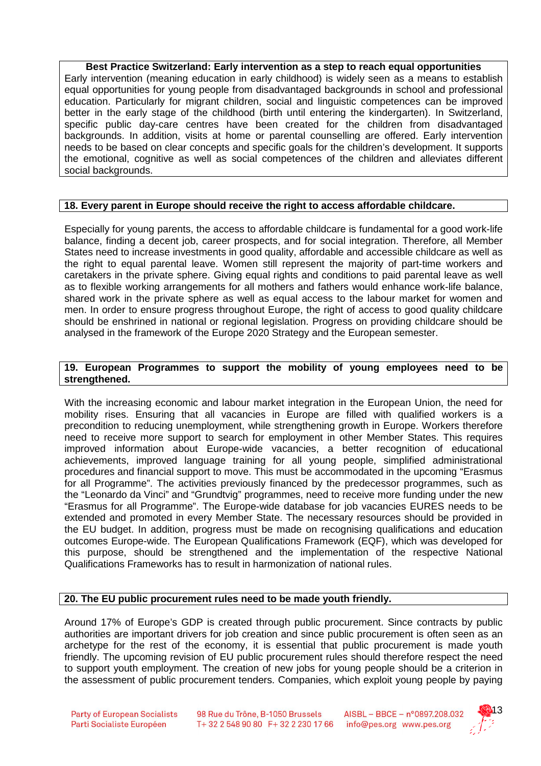**Best Practice Switzerland: Early intervention as a step to reach equal opportunities** Early intervention (meaning education in early childhood) is widely seen as a means to establish equal opportunities for young people from disadvantaged backgrounds in school and professional education. Particularly for migrant children, social and linguistic competences can be improved better in the early stage of the childhood (birth until entering the kindergarten). In Switzerland, specific public day-care centres have been created for the children from disadvantaged backgrounds. In addition, visits at home or parental counselling are offered. Early intervention needs to be based on clear concepts and specific goals for the children's development. It supports the emotional, cognitive as well as social competences of the children and alleviates different social backgrounds.

## **18. Every parent in Europe should receive the right to access affordable childcare.**

Especially for young parents, the access to affordable childcare is fundamental for a good work-life balance, finding a decent job, career prospects, and for social integration. Therefore, all Member States need to increase investments in good quality, affordable and accessible childcare as well as the right to equal parental leave. Women still represent the majority of part-time workers and caretakers in the private sphere. Giving equal rights and conditions to paid parental leave as well as to flexible working arrangements for all mothers and fathers would enhance work-life balance, shared work in the private sphere as well as equal access to the labour market for women and men. In order to ensure progress throughout Europe, the right of access to good quality childcare should be enshrined in national or regional legislation. Progress on providing childcare should be analysed in the framework of the Europe 2020 Strategy and the European semester.

## **19. European Programmes to support the mobility of young employees need to be strengthened.**

With the increasing economic and labour market integration in the European Union, the need for mobility rises. Ensuring that all vacancies in Europe are filled with qualified workers is a precondition to reducing unemployment, while strengthening growth in Europe. Workers therefore need to receive more support to search for employment in other Member States. This requires improved information about Europe-wide vacancies, a better recognition of educational achievements, improved language training for all young people, simplified administrational procedures and financial support to move. This must be accommodated in the upcoming "Erasmus for all Programme". The activities previously financed by the predecessor programmes, such as the "Leonardo da Vinci" and "Grundtvig" programmes, need to receive more funding under the new "Erasmus for all Programme". The Europe-wide database for job vacancies EURES needs to be extended and promoted in every Member State. The necessary resources should be provided in the EU budget. In addition, progress must be made on recognising qualifications and education outcomes Europe-wide. The European Qualifications Framework (EQF), which was developed for this purpose, should be strengthened and the implementation of the respective National Qualifications Frameworks has to result in harmonization of national rules.

## **20. The EU public procurement rules need to be made youth friendly.**

Around 17% of Europe's GDP is created through public procurement. Since contracts by public authorities are important drivers for job creation and since public procurement is often seen as an archetype for the rest of the economy, it is essential that public procurement is made youth friendly. The upcoming revision of EU public procurement rules should therefore respect the need to support youth employment. The creation of new jobs for young people should be a criterion in the assessment of public procurement tenders. Companies, which exploit young people by paying